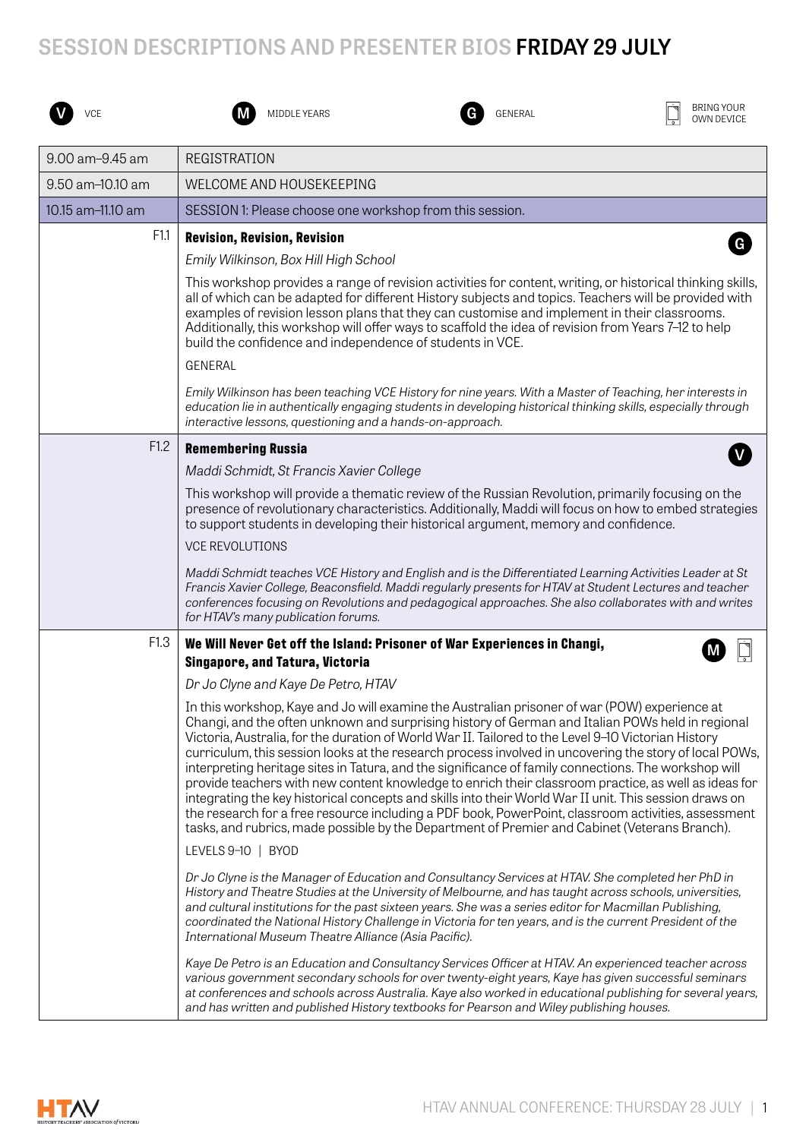## **SESSION DESCRIPTIONS AND PRESENTER BIOS FRIDAY 29 JULY**



```
G GENERAL C OF GENERAL G OWN DEVICE M MIDDLE YEARS GENERAL GENERAL GENERAL C OWN DEVICE
```


| 9.00 am-9.45 am   | REGISTRATION                                                                                                                                                                                                                                                                                                                                                                                                                                                                                                                                                                                                                                                                                                                                                                                                                                                              |
|-------------------|---------------------------------------------------------------------------------------------------------------------------------------------------------------------------------------------------------------------------------------------------------------------------------------------------------------------------------------------------------------------------------------------------------------------------------------------------------------------------------------------------------------------------------------------------------------------------------------------------------------------------------------------------------------------------------------------------------------------------------------------------------------------------------------------------------------------------------------------------------------------------|
| 9.50 am-10.10 am  | WELCOME AND HOUSEKEEPING                                                                                                                                                                                                                                                                                                                                                                                                                                                                                                                                                                                                                                                                                                                                                                                                                                                  |
| 10.15 am-11.10 am | SESSION 1: Please choose one workshop from this session.                                                                                                                                                                                                                                                                                                                                                                                                                                                                                                                                                                                                                                                                                                                                                                                                                  |
| F1.1              | <b>Revision, Revision, Revision</b><br>$\mathbf{G}$                                                                                                                                                                                                                                                                                                                                                                                                                                                                                                                                                                                                                                                                                                                                                                                                                       |
|                   | Emily Wilkinson, Box Hill High School                                                                                                                                                                                                                                                                                                                                                                                                                                                                                                                                                                                                                                                                                                                                                                                                                                     |
|                   | This workshop provides a range of revision activities for content, writing, or historical thinking skills,<br>all of which can be adapted for different History subjects and topics. Teachers will be provided with<br>examples of revision lesson plans that they can customise and implement in their classrooms.<br>Additionally, this workshop will offer ways to scaffold the idea of revision from Years 7-12 to help<br>build the confidence and independence of students in VCE.                                                                                                                                                                                                                                                                                                                                                                                  |
|                   | GENERAL                                                                                                                                                                                                                                                                                                                                                                                                                                                                                                                                                                                                                                                                                                                                                                                                                                                                   |
|                   | Emily Wilkinson has been teaching VCE History for nine years. With a Master of Teaching, her interests in<br>education lie in authentically engaging students in developing historical thinking skills, especially through<br>interactive lessons, questioning and a hands-on-approach.                                                                                                                                                                                                                                                                                                                                                                                                                                                                                                                                                                                   |
| F1.2              | <b>Remembering Russia</b>                                                                                                                                                                                                                                                                                                                                                                                                                                                                                                                                                                                                                                                                                                                                                                                                                                                 |
|                   | Maddi Schmidt, St Francis Xavier College                                                                                                                                                                                                                                                                                                                                                                                                                                                                                                                                                                                                                                                                                                                                                                                                                                  |
|                   | This workshop will provide a thematic review of the Russian Revolution, primarily focusing on the<br>presence of revolutionary characteristics. Additionally, Maddi will focus on how to embed strategies<br>to support students in developing their historical argument, memory and confidence.                                                                                                                                                                                                                                                                                                                                                                                                                                                                                                                                                                          |
|                   | <b>VCE REVOLUTIONS</b>                                                                                                                                                                                                                                                                                                                                                                                                                                                                                                                                                                                                                                                                                                                                                                                                                                                    |
|                   | Maddi Schmidt teaches VCE History and English and is the Differentiated Learning Activities Leader at St<br>Francis Xavier College, Beaconsfield. Maddi regularly presents for HTAV at Student Lectures and teacher<br>conferences focusing on Revolutions and pedagogical approaches. She also collaborates with and writes<br>for HTAV's many publication forums.                                                                                                                                                                                                                                                                                                                                                                                                                                                                                                       |
| F1.3              | We Will Never Get off the Island: Prisoner of War Experiences in Changi,                                                                                                                                                                                                                                                                                                                                                                                                                                                                                                                                                                                                                                                                                                                                                                                                  |
|                   | <b>Singapore, and Tatura, Victoria</b>                                                                                                                                                                                                                                                                                                                                                                                                                                                                                                                                                                                                                                                                                                                                                                                                                                    |
|                   | Dr Jo Clyne and Kaye De Petro, HTAV<br>In this workshop, Kaye and Jo will examine the Australian prisoner of war (POW) experience at                                                                                                                                                                                                                                                                                                                                                                                                                                                                                                                                                                                                                                                                                                                                      |
|                   | Changi, and the often unknown and surprising history of German and Italian POWs held in regional<br>Victoria, Australia, for the duration of World War II. Tailored to the Level 9-10 Victorian History<br>curriculum, this session looks at the research process involved in uncovering the story of local POWs,<br>interpreting heritage sites in Tatura, and the significance of family connections. The workshop will<br>provide teachers with new content knowledge to enrich their classroom practice, as well as ideas for<br>integrating the key historical concepts and skills into their World War II unit. This session draws on<br>the research for a free resource including a PDF book, PowerPoint, classroom activities, assessment<br>tasks, and rubrics, made possible by the Department of Premier and Cabinet (Veterans Branch).<br>LEVELS 9-10   BYOD |
|                   | Dr Jo Clyne is the Manager of Education and Consultancy Services at HTAV. She completed her PhD in                                                                                                                                                                                                                                                                                                                                                                                                                                                                                                                                                                                                                                                                                                                                                                        |
|                   | History and Theatre Studies at the University of Melbourne, and has taught across schools, universities,<br>and cultural institutions for the past sixteen years. She was a series editor for Macmillan Publishing,<br>coordinated the National History Challenge in Victoria for ten years, and is the current President of the<br>International Museum Theatre Alliance (Asia Pacific).                                                                                                                                                                                                                                                                                                                                                                                                                                                                                 |
|                   | Kaye De Petro is an Education and Consultancy Services Officer at HTAV. An experienced teacher across<br>various government secondary schools for over twenty-eight years, Kaye has given successful seminars<br>at conferences and schools across Australia. Kaye also worked in educational publishing for several years,<br>and has written and published History textbooks for Pearson and Wiley publishing houses.                                                                                                                                                                                                                                                                                                                                                                                                                                                   |

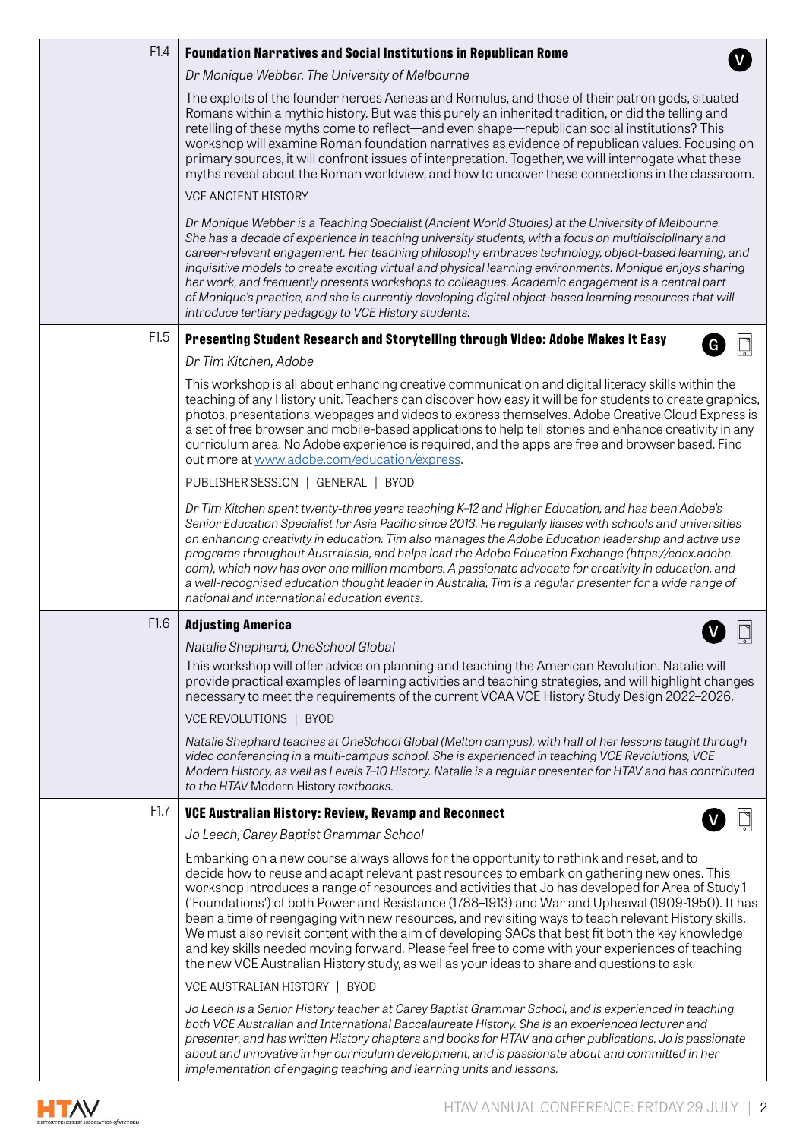|      | <b>Foundation Narratives and Social Institutions in Republican Rome</b>                                                                                                                                                                                                                                                                                                                                                                                                                                                                                                                                                                                                                                                                                                                                         |
|------|-----------------------------------------------------------------------------------------------------------------------------------------------------------------------------------------------------------------------------------------------------------------------------------------------------------------------------------------------------------------------------------------------------------------------------------------------------------------------------------------------------------------------------------------------------------------------------------------------------------------------------------------------------------------------------------------------------------------------------------------------------------------------------------------------------------------|
|      | Dr Monique Webber, The University of Melbourne                                                                                                                                                                                                                                                                                                                                                                                                                                                                                                                                                                                                                                                                                                                                                                  |
|      | The exploits of the founder heroes Aeneas and Romulus, and those of their patron gods, situated<br>Romans within a mythic history. But was this purely an inherited tradition, or did the telling and<br>retelling of these myths come to reflect—and even shape—republican social institutions? This<br>workshop will examine Roman foundation narratives as evidence of republican values. Focusing on<br>primary sources, it will confront issues of interpretation. Together, we will interrogate what these<br>myths reveal about the Roman worldview, and how to uncover these connections in the classroom.                                                                                                                                                                                              |
|      | <b>VCE ANCIENT HISTORY</b>                                                                                                                                                                                                                                                                                                                                                                                                                                                                                                                                                                                                                                                                                                                                                                                      |
|      | Dr Monique Webber is a Teaching Specialist (Ancient World Studies) at the University of Melbourne.<br>She has a decade of experience in teaching university students, with a focus on multidisciplinary and<br>career-relevant engagement. Her teaching philosophy embraces technology, object-based learning, and<br>inquisitive models to create exciting virtual and physical learning environments. Monique enjoys sharing<br>her work, and frequently presents workshops to colleagues. Academic engagement is a central part<br>of Monique's practice, and she is currently developing digital object-based learning resources that will<br>introduce tertiary pedagogy to VCE History students.                                                                                                          |
| F1.5 | Presenting Student Research and Storytelling through Video: Adobe Makes it Easy                                                                                                                                                                                                                                                                                                                                                                                                                                                                                                                                                                                                                                                                                                                                 |
|      | Dr Tim Kitchen, Adobe                                                                                                                                                                                                                                                                                                                                                                                                                                                                                                                                                                                                                                                                                                                                                                                           |
|      | This workshop is all about enhancing creative communication and digital literacy skills within the<br>teaching of any History unit. Teachers can discover how easy it will be for students to create graphics,<br>photos, presentations, webpages and videos to express themselves. Adobe Creative Cloud Express is<br>a set of free browser and mobile-based applications to help tell stories and enhance creativity in any<br>curriculum area. No Adobe experience is required, and the apps are free and browser based. Find<br>out more at www.adobe.com/education/express.                                                                                                                                                                                                                                |
|      | PUBLISHER SESSION   GENERAL   BYOD                                                                                                                                                                                                                                                                                                                                                                                                                                                                                                                                                                                                                                                                                                                                                                              |
|      | Dr Tim Kitchen spent twenty-three years teaching K-12 and Higher Education, and has been Adobe's<br>Senior Education Specialist for Asia Pacific since 2013. He regularly liaises with schools and universities<br>on enhancing creativity in education. Tim also manages the Adobe Education leadership and active use<br>programs throughout Australasia, and helps lead the Adobe Education Exchange (https://edex.adobe.<br>com), which now has over one million members. A passionate advocate for creativity in education, and<br>a well-recognised education thought leader in Australia, Tim is a regular presenter for a wide range of<br>national and international education events.                                                                                                                 |
|      |                                                                                                                                                                                                                                                                                                                                                                                                                                                                                                                                                                                                                                                                                                                                                                                                                 |
| F1.6 | <b>Adjusting America</b>                                                                                                                                                                                                                                                                                                                                                                                                                                                                                                                                                                                                                                                                                                                                                                                        |
|      | Natalie Shephard, OneSchool Global                                                                                                                                                                                                                                                                                                                                                                                                                                                                                                                                                                                                                                                                                                                                                                              |
|      | This workshop will offer advice on planning and teaching the American Revolution. Natalie will<br>provide practical examples of learning activities and teaching strategies, and will highlight changes<br>necessary to meet the requirements of the current VCAA VCE History Study Design 2022-2026.                                                                                                                                                                                                                                                                                                                                                                                                                                                                                                           |
|      | VCE REVOLUTIONS   BYOD                                                                                                                                                                                                                                                                                                                                                                                                                                                                                                                                                                                                                                                                                                                                                                                          |
|      | Natalie Shephard teaches at OneSchool Global (Melton campus), with half of her lessons taught through<br>video conferencing in a multi-campus school. She is experienced in teaching VCE Revolutions, VCE<br>Modern History, as well as Levels 7-10 History. Natalie is a regular presenter for HTAV and has contributed<br>to the HTAV Modern History textbooks.                                                                                                                                                                                                                                                                                                                                                                                                                                               |
| F1.7 | VCE Australian History: Review, Revamp and Reconnect                                                                                                                                                                                                                                                                                                                                                                                                                                                                                                                                                                                                                                                                                                                                                            |
|      | Jo Leech, Carey Baptist Grammar School                                                                                                                                                                                                                                                                                                                                                                                                                                                                                                                                                                                                                                                                                                                                                                          |
|      | Embarking on a new course always allows for the opportunity to rethink and reset, and to<br>decide how to reuse and adapt relevant past resources to embark on gathering new ones. This<br>workshop introduces a range of resources and activities that Jo has developed for Area of Study 1<br>('Foundations') of both Power and Resistance (1788–1913) and War and Upheaval (1909-1950). It has<br>been a time of reengaging with new resources, and revisiting ways to teach relevant History skills.<br>We must also revisit content with the aim of developing SACs that best fit both the key knowledge<br>and key skills needed moving forward. Please feel free to come with your experiences of teaching<br>the new VCE Australian History study, as well as your ideas to share and questions to ask. |
|      | VCE AUSTRALIAN HISTORY   BYOD                                                                                                                                                                                                                                                                                                                                                                                                                                                                                                                                                                                                                                                                                                                                                                                   |

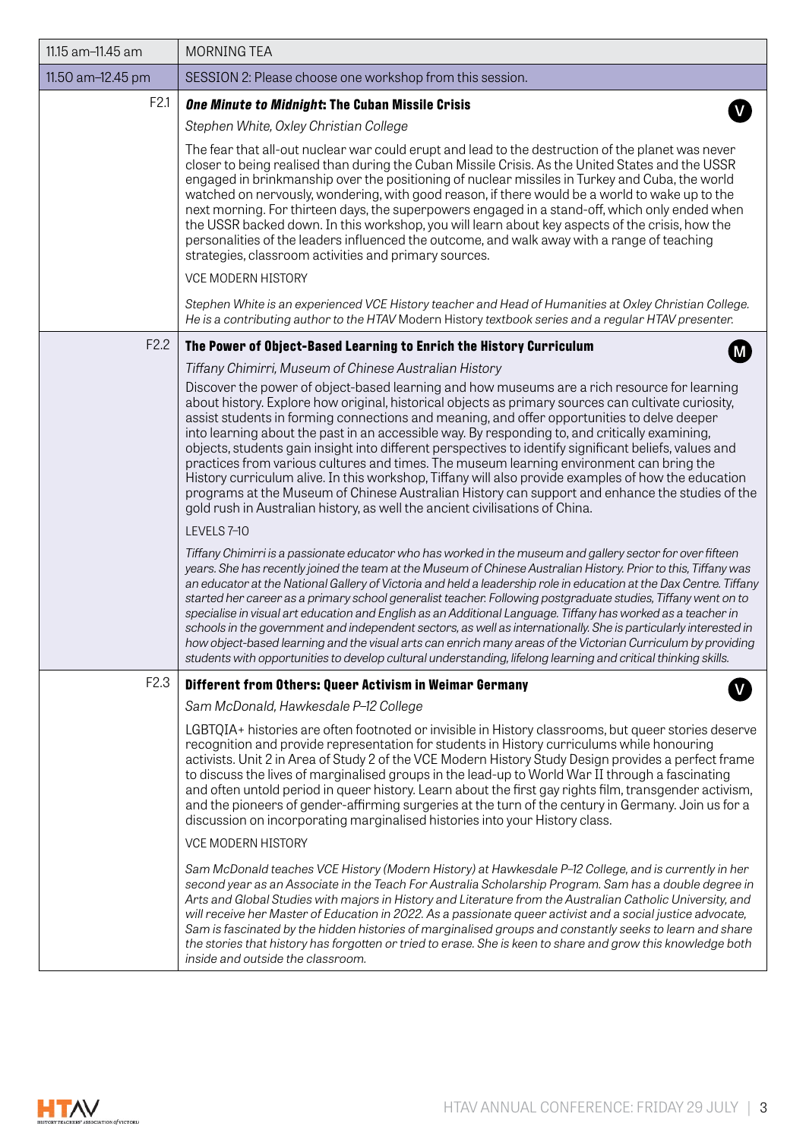| 11.15 am-11.45 am | <b>MORNING TEA</b>                                                                                                                                                                                                                                                                                                                                                                                                                                                                                                                                                                                                                                                                                                                                                                                                                                                                                                                         |
|-------------------|--------------------------------------------------------------------------------------------------------------------------------------------------------------------------------------------------------------------------------------------------------------------------------------------------------------------------------------------------------------------------------------------------------------------------------------------------------------------------------------------------------------------------------------------------------------------------------------------------------------------------------------------------------------------------------------------------------------------------------------------------------------------------------------------------------------------------------------------------------------------------------------------------------------------------------------------|
| 11.50 am-12.45 pm | SESSION 2: Please choose one workshop from this session.                                                                                                                                                                                                                                                                                                                                                                                                                                                                                                                                                                                                                                                                                                                                                                                                                                                                                   |
| F <sub>2.1</sub>  | <b>One Minute to Midnight: The Cuban Missile Crisis</b>                                                                                                                                                                                                                                                                                                                                                                                                                                                                                                                                                                                                                                                                                                                                                                                                                                                                                    |
|                   | Stephen White, Oxley Christian College                                                                                                                                                                                                                                                                                                                                                                                                                                                                                                                                                                                                                                                                                                                                                                                                                                                                                                     |
|                   | The fear that all-out nuclear war could erupt and lead to the destruction of the planet was never<br>closer to being realised than during the Cuban Missile Crisis. As the United States and the USSR<br>engaged in brinkmanship over the positioning of nuclear missiles in Turkey and Cuba, the world<br>watched on nervously, wondering, with good reason, if there would be a world to wake up to the<br>next morning. For thirteen days, the superpowers engaged in a stand-off, which only ended when<br>the USSR backed down. In this workshop, you will learn about key aspects of the crisis, how the<br>personalities of the leaders influenced the outcome, and walk away with a range of teaching<br>strategies, classroom activities and primary sources.                                                                                                                                                                     |
|                   | VCE MODERN HISTORY                                                                                                                                                                                                                                                                                                                                                                                                                                                                                                                                                                                                                                                                                                                                                                                                                                                                                                                         |
|                   | Stephen White is an experienced VCE History teacher and Head of Humanities at Oxley Christian College.<br>He is a contributing author to the HTAV Modern History textbook series and a regular HTAV presenter.                                                                                                                                                                                                                                                                                                                                                                                                                                                                                                                                                                                                                                                                                                                             |
| F2.2              | The Power of Object-Based Learning to Enrich the History Curriculum<br>М                                                                                                                                                                                                                                                                                                                                                                                                                                                                                                                                                                                                                                                                                                                                                                                                                                                                   |
|                   | Tiffany Chimirri, Museum of Chinese Australian History                                                                                                                                                                                                                                                                                                                                                                                                                                                                                                                                                                                                                                                                                                                                                                                                                                                                                     |
|                   | Discover the power of object-based learning and how museums are a rich resource for learning<br>about history. Explore how original, historical objects as primary sources can cultivate curiosity,<br>assist students in forming connections and meaning, and offer opportunities to delve deeper<br>into learning about the past in an accessible way. By responding to, and critically examining,<br>objects, students gain insight into different perspectives to identify significant beliefs, values and<br>practices from various cultures and times. The museum learning environment can bring the<br>History curriculum alive. In this workshop, Tiffany will also provide examples of how the education<br>programs at the Museum of Chinese Australian History can support and enhance the studies of the<br>gold rush in Australian history, as well the ancient civilisations of China.                                       |
|                   | LEVELS <sub>7-10</sub>                                                                                                                                                                                                                                                                                                                                                                                                                                                                                                                                                                                                                                                                                                                                                                                                                                                                                                                     |
|                   | Tiffany Chimirri is a passionate educator who has worked in the museum and gallery sector for over fifteen<br>years. She has recently joined the team at the Museum of Chinese Australian History. Prior to this, Tiffany was<br>an educator at the National Gallery of Victoria and held a leadership role in education at the Dax Centre. Tiffany<br>started her career as a primary school generalist teacher. Following postgraduate studies, Tiffany went on to<br>specialise in visual art education and English as an Additional Language. Tiffany has worked as a teacher in<br>schools in the government and independent sectors, as well as internationally. She is particularly interested in<br>how object-based learning and the visual arts can enrich many areas of the Victorian Curriculum by providing<br>students with opportunities to develop cultural understanding, lifelong learning and critical thinking skills. |
| F2.3              | Different from Others: Queer Activism in Weimar Germany                                                                                                                                                                                                                                                                                                                                                                                                                                                                                                                                                                                                                                                                                                                                                                                                                                                                                    |
|                   | Sam McDonald, Hawkesdale P-12 College                                                                                                                                                                                                                                                                                                                                                                                                                                                                                                                                                                                                                                                                                                                                                                                                                                                                                                      |
|                   | LGBTQIA+ histories are often footnoted or invisible in History classrooms, but queer stories deserve<br>recognition and provide representation for students in History curriculums while honouring<br>activists. Unit 2 in Area of Study 2 of the VCE Modern History Study Design provides a perfect frame<br>to discuss the lives of marginalised groups in the lead-up to World War II through a fascinating<br>and often untold period in queer history. Learn about the first gay rights film, transgender activism,<br>and the pioneers of gender-affirming surgeries at the turn of the century in Germany. Join us for a<br>discussion on incorporating marginalised histories into your History class.                                                                                                                                                                                                                             |
|                   | <b>VCE MODERN HISTORY</b>                                                                                                                                                                                                                                                                                                                                                                                                                                                                                                                                                                                                                                                                                                                                                                                                                                                                                                                  |
|                   | Sam McDonald teaches VCE History (Modern History) at Hawkesdale P-12 College, and is currently in her<br>second year as an Associate in the Teach For Australia Scholarship Program. Sam has a double degree in<br>Arts and Global Studies with majors in History and Literature from the Australian Catholic University, and<br>will receive her Master of Education in 2022. As a passionate queer activist and a social justice advocate,<br>Sam is fascinated by the hidden histories of marginalised groups and constantly seeks to learn and share<br>the stories that history has forgotten or tried to erase. She is keen to share and grow this knowledge both<br>inside and outside the classroom.                                                                                                                                                                                                                               |

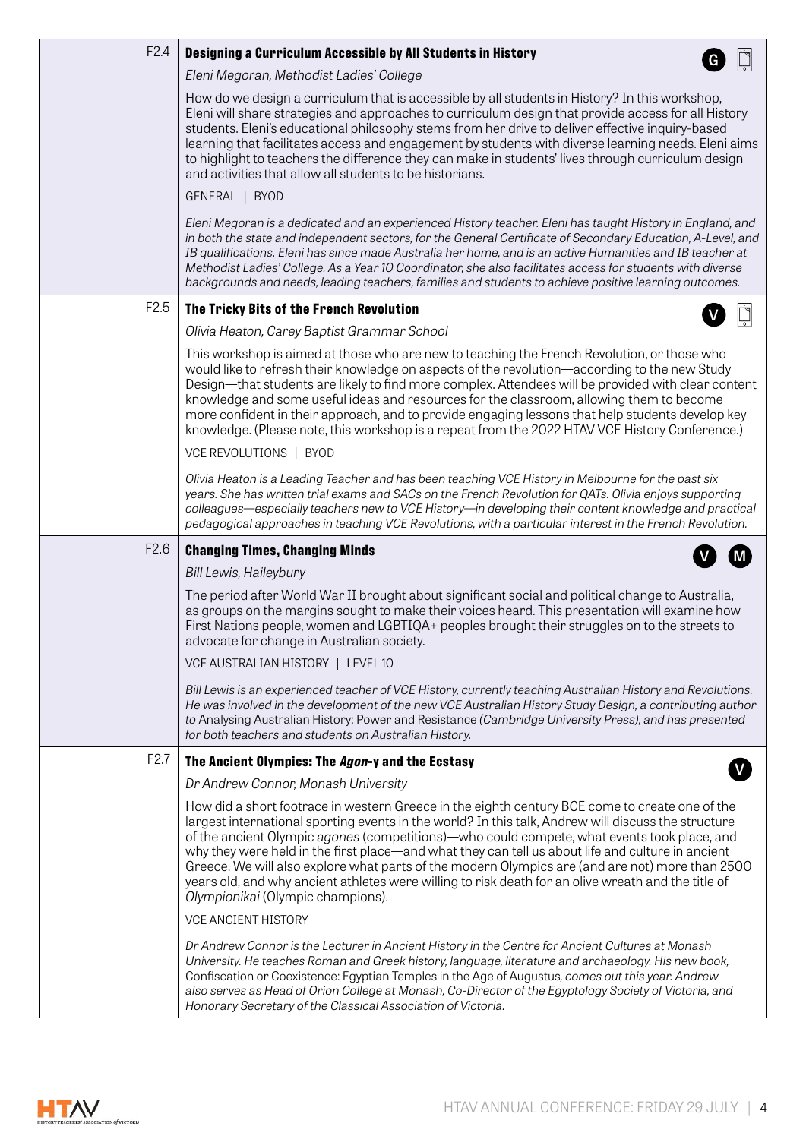| F <sub>2.4</sub> | Designing a Curriculum Accessible by All Students in History                                                                                                                                                                                                                                                                                                                                                                                                                                                                                                                                                                                             |
|------------------|----------------------------------------------------------------------------------------------------------------------------------------------------------------------------------------------------------------------------------------------------------------------------------------------------------------------------------------------------------------------------------------------------------------------------------------------------------------------------------------------------------------------------------------------------------------------------------------------------------------------------------------------------------|
|                  | Eleni Megoran, Methodist Ladies' College                                                                                                                                                                                                                                                                                                                                                                                                                                                                                                                                                                                                                 |
|                  | How do we design a curriculum that is accessible by all students in History? In this workshop,<br>Eleni will share strategies and approaches to curriculum design that provide access for all History<br>students. Eleni's educational philosophy stems from her drive to deliver effective inquiry-based<br>learning that facilitates access and engagement by students with diverse learning needs. Eleni aims<br>to highlight to teachers the difference they can make in students' lives through curriculum design<br>and activities that allow all students to be historians.                                                                       |
|                  | GENERAL   BYOD                                                                                                                                                                                                                                                                                                                                                                                                                                                                                                                                                                                                                                           |
|                  | Eleni Megoran is a dedicated and an experienced History teacher. Eleni has taught History in England, and<br>in both the state and independent sectors, for the General Certificate of Secondary Education, A-Level, and<br>IB qualifications. Eleni has since made Australia her home, and is an active Humanities and IB teacher at<br>Methodist Ladies' College. As a Year 10 Coordinator, she also facilitates access for students with diverse<br>backgrounds and needs, leading teachers, families and students to achieve positive learning outcomes.                                                                                             |
| F2.5             | The Tricky Bits of the French Revolution                                                                                                                                                                                                                                                                                                                                                                                                                                                                                                                                                                                                                 |
|                  | Olivia Heaton, Carey Baptist Grammar School                                                                                                                                                                                                                                                                                                                                                                                                                                                                                                                                                                                                              |
|                  | This workshop is aimed at those who are new to teaching the French Revolution, or those who<br>would like to refresh their knowledge on aspects of the revolution—according to the new Study<br>Design—that students are likely to find more complex. Attendees will be provided with clear content<br>knowledge and some useful ideas and resources for the classroom, allowing them to become<br>more confident in their approach, and to provide engaging lessons that help students develop key<br>knowledge. (Please note, this workshop is a repeat from the 2022 HTAV VCE History Conference.)                                                    |
|                  | VCE REVOLUTIONS   BYOD                                                                                                                                                                                                                                                                                                                                                                                                                                                                                                                                                                                                                                   |
|                  | Olivia Heaton is a Leading Teacher and has been teaching VCE History in Melbourne for the past six<br>years. She has written trial exams and SACs on the French Revolution for QATs. Olivia enjoys supporting<br>colleagues—especially teachers new to VCE History—in developing their content knowledge and practical<br>pedagogical approaches in teaching VCE Revolutions, with a particular interest in the French Revolution.                                                                                                                                                                                                                       |
| F2.6             | <b>Changing Times, Changing Minds</b>                                                                                                                                                                                                                                                                                                                                                                                                                                                                                                                                                                                                                    |
|                  | <b>Bill Lewis, Haileybury</b>                                                                                                                                                                                                                                                                                                                                                                                                                                                                                                                                                                                                                            |
|                  |                                                                                                                                                                                                                                                                                                                                                                                                                                                                                                                                                                                                                                                          |
|                  | The period after World War II brought about significant social and political change to Australia,<br>as groups on the margins sought to make their voices heard. This presentation will examine how<br>First Nations people, women and LGBTIQA+ peoples brought their struggles on to the streets to<br>advocate for change in Australian society.                                                                                                                                                                                                                                                                                                       |
|                  | VCE AUSTRALIAN HISTORY   LEVEL 10                                                                                                                                                                                                                                                                                                                                                                                                                                                                                                                                                                                                                        |
|                  | Bill Lewis is an experienced teacher of VCE History, currently teaching Australian History and Revolutions.<br>He was involved in the development of the new VCE Australian History Study Design, a contributing author<br>to Analysing Australian History: Power and Resistance (Cambridge University Press), and has presented<br>for both teachers and students on Australian History.                                                                                                                                                                                                                                                                |
| F <sub>2.7</sub> | The Ancient Olympics: The Agon-y and the Ecstasy                                                                                                                                                                                                                                                                                                                                                                                                                                                                                                                                                                                                         |
|                  | Dr Andrew Connor, Monash University                                                                                                                                                                                                                                                                                                                                                                                                                                                                                                                                                                                                                      |
|                  | How did a short footrace in western Greece in the eighth century BCE come to create one of the<br>largest international sporting events in the world? In this talk, Andrew will discuss the structure<br>of the ancient Olympic agones (competitions)-who could compete, what events took place, and<br>why they were held in the first place—and what they can tell us about life and culture in ancient<br>Greece. We will also explore what parts of the modern Olympics are (and are not) more than 2500<br>years old, and why ancient athletes were willing to risk death for an olive wreath and the title of<br>Olympionikai (Olympic champions). |
|                  | <b>VCE ANCIENT HISTORY</b>                                                                                                                                                                                                                                                                                                                                                                                                                                                                                                                                                                                                                               |

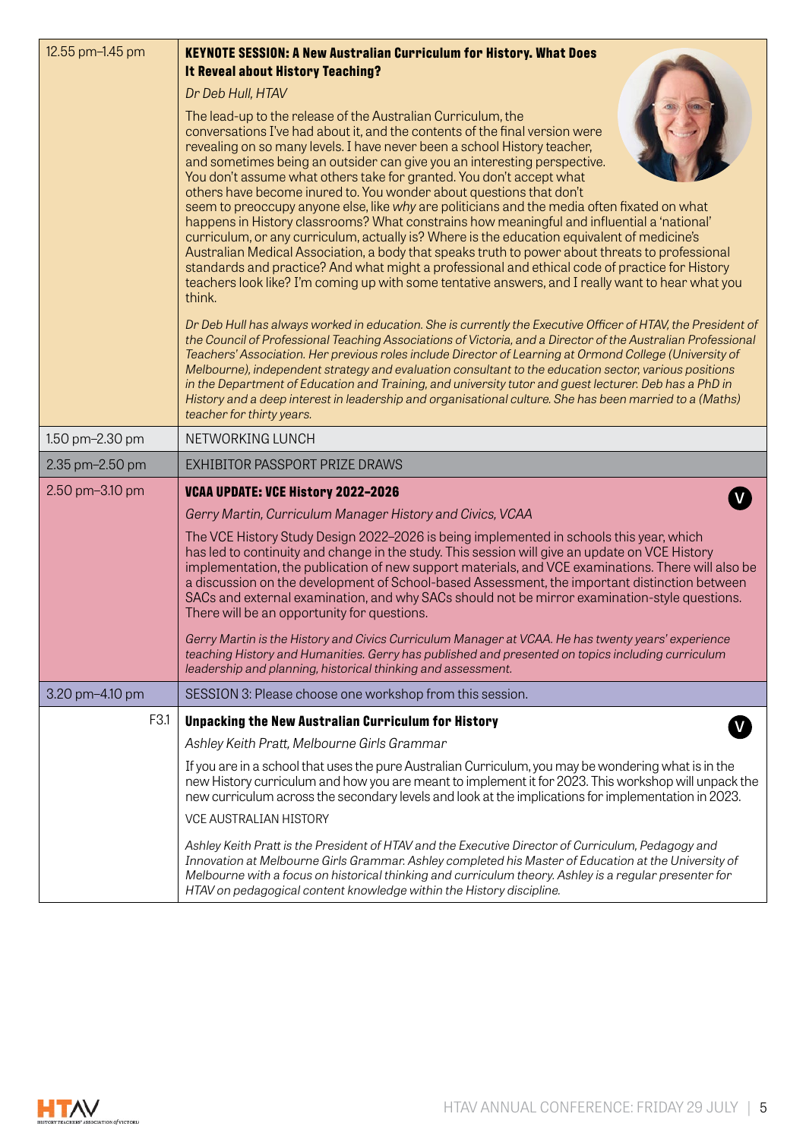| 12.55 pm-1.45 pm | <b>KEYNOTE SESSION: A New Australian Curriculum for History. What Does</b><br>It Reveal about History Teaching?                                                                                                                                                                                                                                                                                                                                                                                                                                                                                                                                                                                                                                                                                                                                                                                                                                                                                                                                                    |
|------------------|--------------------------------------------------------------------------------------------------------------------------------------------------------------------------------------------------------------------------------------------------------------------------------------------------------------------------------------------------------------------------------------------------------------------------------------------------------------------------------------------------------------------------------------------------------------------------------------------------------------------------------------------------------------------------------------------------------------------------------------------------------------------------------------------------------------------------------------------------------------------------------------------------------------------------------------------------------------------------------------------------------------------------------------------------------------------|
|                  | Dr Deb Hull, HTAV                                                                                                                                                                                                                                                                                                                                                                                                                                                                                                                                                                                                                                                                                                                                                                                                                                                                                                                                                                                                                                                  |
|                  | The lead-up to the release of the Australian Curriculum, the<br>conversations I've had about it, and the contents of the final version were<br>revealing on so many levels. I have never been a school History teacher,<br>and sometimes being an outsider can give you an interesting perspective.<br>You don't assume what others take for granted. You don't accept what<br>others have become inured to. You wonder about questions that don't<br>seem to preoccupy anyone else, like why are politicians and the media often fixated on what<br>happens in History classrooms? What constrains how meaningful and influential a 'national'<br>curriculum, or any curriculum, actually is? Where is the education equivalent of medicine's<br>Australian Medical Association, a body that speaks truth to power about threats to professional<br>standards and practice? And what might a professional and ethical code of practice for History<br>teachers look like? I'm coming up with some tentative answers, and I really want to hear what you<br>think. |
|                  | Dr Deb Hull has always worked in education. She is currently the Executive Officer of HTAV, the President of<br>the Council of Professional Teaching Associations of Victoria, and a Director of the Australian Professional<br>Teachers' Association. Her previous roles include Director of Learning at Ormond College (University of<br>Melbourne), independent strategy and evaluation consultant to the education sector, various positions<br>in the Department of Education and Training, and university tutor and guest lecturer. Deb has a PhD in<br>History and a deep interest in leadership and organisational culture. She has been married to a (Maths)<br>teacher for thirty years.                                                                                                                                                                                                                                                                                                                                                                 |
| 1.50 pm-2.30 pm  | NETWORKING LUNCH                                                                                                                                                                                                                                                                                                                                                                                                                                                                                                                                                                                                                                                                                                                                                                                                                                                                                                                                                                                                                                                   |
| 2.35 pm-2.50 pm  | <b>EXHIBITOR PASSPORT PRIZE DRAWS</b>                                                                                                                                                                                                                                                                                                                                                                                                                                                                                                                                                                                                                                                                                                                                                                                                                                                                                                                                                                                                                              |
| 2.50 pm-3.10 pm  | VCAA UPDATE: VCE History 2022-2026                                                                                                                                                                                                                                                                                                                                                                                                                                                                                                                                                                                                                                                                                                                                                                                                                                                                                                                                                                                                                                 |
|                  | Gerry Martin, Curriculum Manager History and Civics, VCAA                                                                                                                                                                                                                                                                                                                                                                                                                                                                                                                                                                                                                                                                                                                                                                                                                                                                                                                                                                                                          |
|                  | The VCE History Study Design 2022-2026 is being implemented in schools this year, which<br>has led to continuity and change in the study. This session will give an update on VCE History<br>implementation, the publication of new support materials, and VCE examinations. There will also be<br>a discussion on the development of School-based Assessment, the important distinction between<br>SACs and external examination, and why SACs should not be mirror examination-style questions.<br>There will be an opportunity for questions.                                                                                                                                                                                                                                                                                                                                                                                                                                                                                                                   |
|                  | Gerry Martin is the History and Civics Curriculum Manager at VCAA. He has twenty years' experience<br>teaching History and Humanities. Gerry has published and presented on topics including curriculum<br>leadership and planning, historical thinking and assessment.                                                                                                                                                                                                                                                                                                                                                                                                                                                                                                                                                                                                                                                                                                                                                                                            |
| 3.20 pm-4.10 pm  | SESSION 3: Please choose one workshop from this session.                                                                                                                                                                                                                                                                                                                                                                                                                                                                                                                                                                                                                                                                                                                                                                                                                                                                                                                                                                                                           |
| F3.1             | <b>Unpacking the New Australian Curriculum for History</b>                                                                                                                                                                                                                                                                                                                                                                                                                                                                                                                                                                                                                                                                                                                                                                                                                                                                                                                                                                                                         |
|                  | Ashley Keith Pratt, Melbourne Girls Grammar                                                                                                                                                                                                                                                                                                                                                                                                                                                                                                                                                                                                                                                                                                                                                                                                                                                                                                                                                                                                                        |
|                  | If you are in a school that uses the pure Australian Curriculum, you may be wondering what is in the<br>new History curriculum and how you are meant to implement it for 2023. This workshop will unpack the<br>new curriculum across the secondary levels and look at the implications for implementation in 2023.                                                                                                                                                                                                                                                                                                                                                                                                                                                                                                                                                                                                                                                                                                                                                |
|                  | <b>VCE AUSTRALIAN HISTORY</b>                                                                                                                                                                                                                                                                                                                                                                                                                                                                                                                                                                                                                                                                                                                                                                                                                                                                                                                                                                                                                                      |
|                  | Ashley Keith Pratt is the President of HTAV and the Executive Director of Curriculum, Pedagogy and<br>Innovation at Melbourne Girls Grammar. Ashley completed his Master of Education at the University of<br>Melbourne with a focus on historical thinking and curriculum theory. Ashley is a regular presenter for<br>HTAV on pedagogical content knowledge within the History discipline.                                                                                                                                                                                                                                                                                                                                                                                                                                                                                                                                                                                                                                                                       |